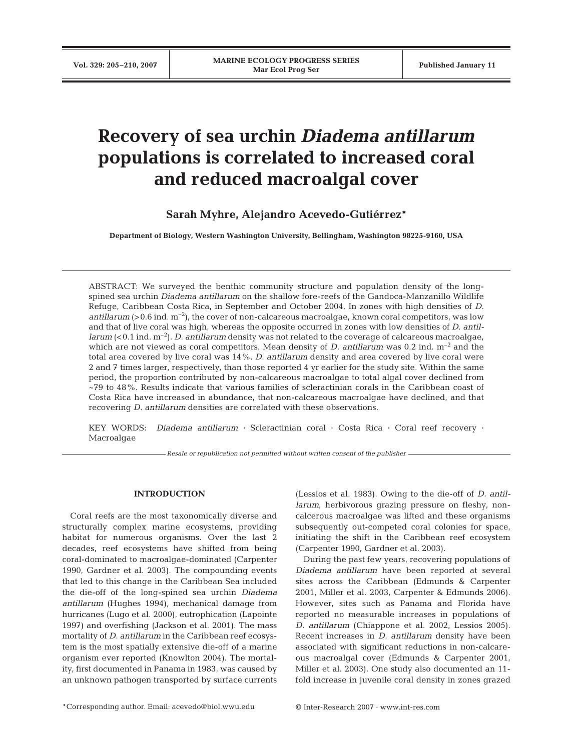# **Recovery of sea urchin** *Diadema antillarum* **populations is correlated to increased coral and reduced macroalgal cover**

**Sarah Myhre, Alejandro Acevedo-Gutiérrez\***

**Department of Biology, Western Washington University, Bellingham, Washington 98225-9160, USA**

ABSTRACT: We surveyed the benthic community structure and population density of the longspined sea urchin *Diadema antillarum* on the shallow fore-reefs of the Gandoca-Manzanillo Wildlife Refuge, Caribbean Costa Rica, in September and October 2004. In zones with high densities of *D. antillarum* ( $>0.6$  ind.  $m^{-2}$ ), the cover of non-calcareous macroalgae, known coral competitors, was low and that of live coral was high, whereas the opposite occurred in zones with low densities of *D. antillarum* (<0.1 ind. m<sup>-2</sup>). *D. antillarum* density was not related to the coverage of calcareous macroalgae, which are not viewed as coral competitors. Mean density of *D. antillarum* was 0.2 ind.  $m^{-2}$  and the total area covered by live coral was 14%. *D. antillarum* density and area covered by live coral were 2 and 7 times larger, respectively, than those reported 4 yr earlier for the study site. Within the same period, the proportion contributed by non-calcareous macroalgae to total algal cover declined from ~79 to 48%. Results indicate that various families of scleractinian corals in the Caribbean coast of Costa Rica have increased in abundance, that non-calcareous macroalgae have declined, and that recovering *D. antillarum* densities are correlated with these observations.

KEY WORDS: *Diadema antillarum ·* Scleractinian coral · Costa Rica · Coral reef recovery · Macroalgae

*Resale or republication not permitted without written consent of the publisher*

## **INTRODUCTION**

Coral reefs are the most taxonomically diverse and structurally complex marine ecosystems, providing habitat for numerous organisms. Over the last 2 decades, reef ecosystems have shifted from being coral-dominated to macroalgae-dominated (Carpenter 1990, Gardner et al. 2003). The compounding events that led to this change in the Caribbean Sea included the die-off of the long-spined sea urchin *Diadema antillarum* (Hughes 1994)*,* mechanical damage from hurricanes (Lugo et al. 2000), eutrophication (Lapointe 1997) and overfishing (Jackson et al. 2001). The mass mortality of *D. antillarum* in the Caribbean reef ecosystem is the most spatially extensive die-off of a marine organism ever reported (Knowlton 2004). The mortality, first documented in Panama in 1983, was caused by an unknown pathogen transported by surface currents

(Lessios et al. 1983). Owing to the die-off of *D. antillarum*, herbivorous grazing pressure on fleshy, noncalcerous macroalgae was lifted and these organisms subsequently out-competed coral colonies for space, initiating the shift in the Caribbean reef ecosystem (Carpenter 1990, Gardner et al. 2003).

During the past few years, recovering populations of *Diadema antillarum* have been reported at several sites across the Caribbean (Edmunds & Carpenter 2001, Miller et al. 2003, Carpenter & Edmunds 2006). However, sites such as Panama and Florida have reported no measurable increases in populations of *D. antillarum* (Chiappone et al. 2002, Lessios 2005). Recent increases in *D. antillarum* density have been associated with significant reductions in non-calcareous macroalgal cover (Edmunds & Carpenter 2001, Miller et al. 2003). One study also documented an 11 fold increase in juvenile coral density in zones grazed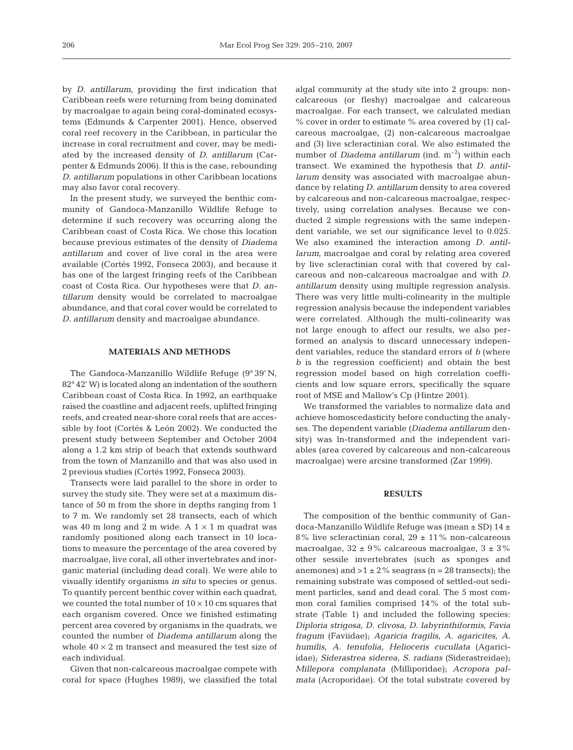by *D. antillarum*, providing the first indication that Caribbean reefs were returning from being dominated by macroalgae to again being coral-dominated ecosystems (Edmunds & Carpenter 2001). Hence, observed coral reef recovery in the Caribbean, in particular the increase in coral recruitment and cover, may be mediated by the increased density of *D*. *antillarum* (Carpenter & Edmunds 2006). If this is the case, rebounding *D. antillarum* populations in other Caribbean locations may also favor coral recovery.

In the present study, we surveyed the benthic community of Gandoca-Manzanillo Wildlife Refuge to determine if such recovery was occurring along the Caribbean coast of Costa Rica. We chose this location because previous estimates of the density of *Diadema antillarum* and cover of live coral in the area were available (Cortés 1992, Fonseca 2003), and because it has one of the largest fringing reefs of the Caribbean coast of Costa Rica. Our hypotheses were that *D. antillarum* density would be correlated to macroalgae abundance, and that coral cover would be correlated to *D. antillarum* density and macroalgae abundance.

## **MATERIALS AND METHODS**

The Gandoca-Manzanillo Wildlife Refuge (9° 39' N, 82° 42' W) is located along an indentation of the southern Caribbean coast of Costa Rica. In 1992, an earthquake raised the coastline and adjacent reefs, uplifted fringing reefs, and created near-shore coral reefs that are accessible by foot (Cortés & León 2002). We conducted the present study between September and October 2004 along a 1.2 km strip of beach that extends southward from the town of Manzanillo and that was also used in 2 previous studies (Cortés 1992, Fonseca 2003).

Transects were laid parallel to the shore in order to survey the study site. They were set at a maximum distance of 50 m from the shore in depths ranging from 1 to 7 m. We randomly set 28 transects, each of which was 40 m long and 2 m wide. A  $1 \times 1$  m quadrat was randomly positioned along each transect in 10 locations to measure the percentage of the area covered by macroalgae, live coral, all other invertebrates and inorganic material (including dead coral). We were able to visually identify organisms *in situ* to species or genus. To quantify percent benthic cover within each quadrat, we counted the total number of  $10 \times 10$  cm squares that each organism covered. Once we finished estimating percent area covered by organisms in the quadrats, we counted the number of *Diadema antillarum* along the whole  $40 \times 2$  m transect and measured the test size of each individual.

Given that non-calcareous macroalgae compete with coral for space (Hughes 1989), we classified the total

algal community at the study site into 2 groups: noncalcareous (or fleshy) macroalgae and calcareous macroalgae. For each transect, we calculated median % cover in order to estimate % area covered by (1) calcareous macroalgae, (2) non-calcareous macroalgae and (3) live scleractinian coral. We also estimated the number of *Diadema antillarum* (ind. m<sup>-2</sup>) within each transect. We examined the hypothesis that *D. antillarum* density was associated with macroalgae abundance by relating *D. antillarum* density to area covered by calcareous and non-calcareous macroalgae, respectively, using correlation analyses. Because we conducted 2 simple regressions with the same independent variable, we set our significance level to 0.025. We also examined the interaction among *D. antillarum*, macroalgae and coral by relating area covered by live scleractinian coral with that covered by calcareous and non-calcareous macroalgae and with *D. antillarum* density using multiple regression analysis. There was very little multi-colinearity in the multiple regression analysis because the independent variables were correlated. Although the multi-colinearity was not large enough to affect our results, we also performed an analysis to discard unnecessary independent variables, reduce the standard errors of *b* (where *b* is the regression coefficient) and obtain the best regression model based on high correlation coefficients and low square errors, specifically the square root of MSE and Mallow's Cp (Hintze 2001).

We transformed the variables to normalize data and achieve homoscedasticity before conducting the analyses. The dependent variable (*Diadema antillarum* density) was ln-transformed and the independent variables (area covered by calcareous and non-calcareous macroalgae) were arcsine transformed (Zar 1999).

#### **RESULTS**

The composition of the benthic community of Gandoca-Manzanillo Wildlife Refuge was (mean ± SD) 14 ± 8% live scleractinian coral,  $29 \pm 11$ % non-calcareous macroalgae,  $32 \pm 9\%$  calcareous macroalgae,  $3 \pm 3\%$ other sessile invertebrates (such as sponges and anemones) and  $>1 \pm 2\%$  seagrass (n = 28 transects); the remaining substrate was composed of settled-out sediment particles, sand and dead coral. The 5 most common coral families comprised 14% of the total substrate (Table 1) and included the following species: *Diploria strigosa, D. clivosa, D. labyrinthiformis, Favia fragum* (Faviidae); *Agaricia fragilis, A. agaricites, A. humilis, A. tenufolia, Helioceris cucullata* (Agariciidae); *Siderastrea siderea, S. radians* (Siderastreidae); *Millepora complanata* (Milliporidae); *Acropora palmata* (Acroporidae). Of the total substrate covered by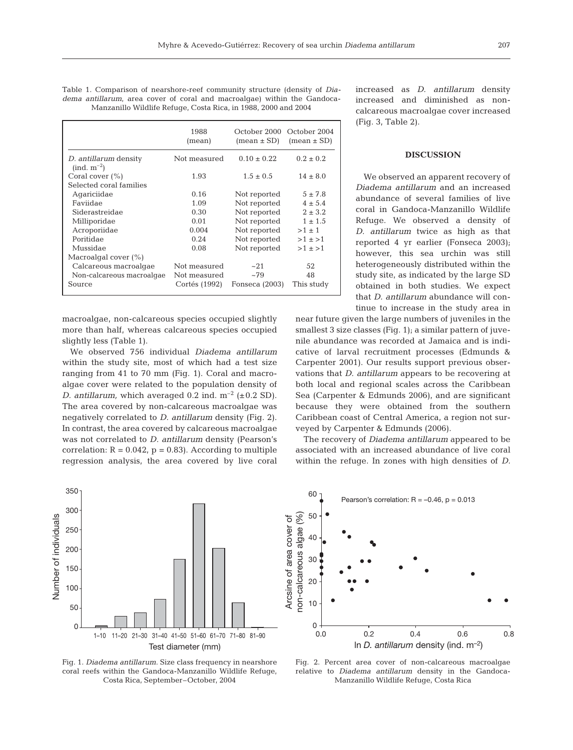| Table 1. Comparison of nearshore-reef community structure (density of <i>Dia-</i> |  |  |  |  |  |
|-----------------------------------------------------------------------------------|--|--|--|--|--|
| dema antillarum, area cover of coral and macroalgae) within the Gandoca-          |  |  |  |  |  |
| Manzanillo Wildlife Refuge, Costa Rica, in 1988, 2000 and 2004                    |  |  |  |  |  |

|                                          | 1988<br>(mean) | October 2000<br>$mean \pm SD$ | October 2004<br>$mean \pm SD$ |  |
|------------------------------------------|----------------|-------------------------------|-------------------------------|--|
| D. antillarum density<br>$(ind. m^{-2})$ | Not measured   | $0.10 \pm 0.22$               | $0.2 \pm 0.2$                 |  |
| Coral cover $(\% )$                      | 1.93           | $1.5 \pm 0.5$                 | $14 \pm 8.0$                  |  |
| Selected coral families                  |                |                               |                               |  |
| Agariciidae                              | 0.16           | Not reported                  | $5 \pm 7.8$                   |  |
| Faviidae                                 | 1.09           | Not reported                  | $4 \pm 5.4$                   |  |
| Siderastreidae                           | 0.30           | Not reported                  | $2 \pm 3.2$                   |  |
| Milliporidae                             | 0.01           | Not reported                  | $1 \pm 1.5$                   |  |
| Acroporiidae                             | 0.004          | Not reported                  | $>1 \pm 1$                    |  |
| Poritidae                                | 0.24           | Not reported                  | $>1 \pm 1$                    |  |
| Mussidae                                 | 0.08           | Not reported                  | $>1 \pm 1$                    |  |
| Macroalgal cover $(\%)$                  |                |                               |                               |  |
| Calcareous macroalgae                    | Not measured   | ~21                           | 52                            |  |
| Non-calcareous macroalgae                | Not measured   | ~179                          | 48                            |  |
| Source                                   | Cortés (1992)  | Fonseca (2003)                | This study                    |  |

macroalgae, non-calcareous species occupied slightly more than half, whereas calcareous species occupied slightly less (Table 1).

We observed 756 individual *Diadema antillarum* within the study site, most of which had a test size ranging from 41 to 70 mm (Fig. 1). Coral and macroalgae cover were related to the population density of *D. antillarum,* which averaged 0.2 ind.  $m^{-2}$  ( $\pm$  0.2 SD). The area covered by non-calcareous macroalgae was negatively correlated to *D. antillarum* density (Fig. 2). In contrast, the area covered by calcareous macroalgae was not correlated to *D. antillarum* density (Pearson's correlation:  $R = 0.042$ ,  $p = 0.83$ ). According to multiple regression analysis, the area covered by live coral



Fig. 1. *Diadema antillarum*. Size class frequency in nearshore coral reefs within the Gandoca-Manzanillo Wildlife Refuge, Costa Rica, September–October, 2004

increased as *D*. *antillarum* density increased and diminished as noncalcareous macroalgae cover increased (Fig. 3, Table 2).

## **DISCUSSION**

We observed an apparent recovery of *Diadema antillarum* and an increased abundance of several families of live coral in Gandoca-Manzanillo Wildlife Refuge. We observed a density of *D. antillarum* twice as high as that reported 4 yr earlier (Fonseca 2003); however, this sea urchin was still heterogeneously distributed within the study site, as indicated by the large SD obtained in both studies. We expect that *D. antillarum* abundance will continue to increase in the study area in

near future given the large numbers of juveniles in the smallest 3 size classes (Fig. 1); a similar pattern of juvenile abundance was recorded at Jamaica and is indicative of larval recruitment processes (Edmunds & Carpenter 2001). Our results support previous observations that *D. antillarum* appears to be recovering at both local and regional scales across the Caribbean Sea (Carpenter & Edmunds 2006), and are significant because they were obtained from the southern Caribbean coast of Central America, a region not surveyed by Carpenter & Edmunds (2006).

The recovery of *Diadema antillarum* appeared to be associated with an increased abundance of live coral within the refuge. In zones with high densities of *D.*



Fig. 2. Percent area cover of non-calcareous macroalgae relative to *Diadema antillarum* density in the Gandoca-Manzanillo Wildlife Refuge, Costa Rica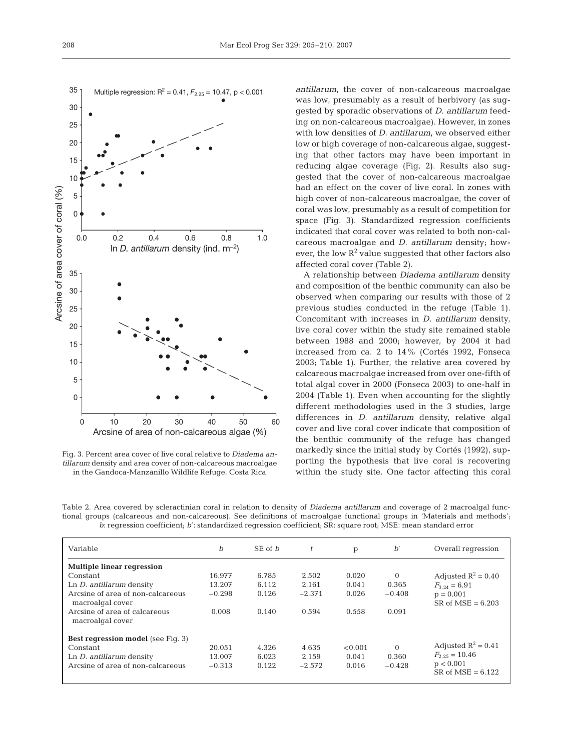

Fig. 3. Percent area cover of live coral relative to *Diadema antillarum* density and area cover of non-calcareous macroalgae in the Gandoca-Manzanillo Wildlife Refuge, Costa Rica

*antillarum*, the cover of non-calcareous macroalgae was low, presumably as a result of herbivory (as suggested by sporadic observations of *D. antillarum* feeding on non-calcareous macroalgae). However, in zones with low densities of *D. antillarum*, we observed either low or high coverage of non-calcareous algae, suggesting that other factors may have been important in reducing algae coverage (Fig. 2). Results also suggested that the cover of non-calcareous macroalgae had an effect on the cover of live coral. In zones with high cover of non-calcareous macroalgae, the cover of coral was low, presumably as a result of competition for space (Fig. 3). Standardized regression coefficients indicated that coral cover was related to both non-calcareous macroalgae and *D. antillarum* density; however, the low  $R^2$  value suggested that other factors also affected coral cover (Table 2).

A relationship between *Diadema antillarum* density and composition of the benthic community can also be observed when comparing our results with those of 2 previous studies conducted in the refuge (Table 1). Concomitant with increases in *D. antillarum* density, live coral cover within the study site remained stable between 1988 and 2000; however, by 2004 it had increased from ca. 2 to 14% (Cortés 1992, Fonseca 2003; Table 1). Further, the relative area covered by calcareous macroalgae increased from over one-fifth of total algal cover in 2000 (Fonseca 2003) to one-half in 2004 (Table 1). Even when accounting for the slightly different methodologies used in the 3 studies, large differences in *D. antillarum* density, relative algal cover and live coral cover indicate that composition of the benthic community of the refuge has changed markedly since the initial study by Cortés (1992), supporting the hypothesis that live coral is recovering within the study site. One factor affecting this coral

Table 2. Area covered by scleractinian coral in relation to density of *Diadema antillarum* and coverage of 2 macroalgal functional groups (calcareous and non-calcareous). See definitions of macroalgae functional groups in 'Materials and methods'; *b*: regression coefficient; *b*': standardized regression coefficient; SR: square root; MSE: mean standard error

| Variable                                              | $\boldsymbol{b}$ | $SE$ of $b$ | $\mathbf{f}$ | p       | $b^{\prime}$ | Overall regression                 |
|-------------------------------------------------------|------------------|-------------|--------------|---------|--------------|------------------------------------|
| <b>Multiple linear regression</b>                     |                  |             |              |         |              |                                    |
| Constant                                              | 16.977           | 6.785       | 2.502        | 0.020   | $\Omega$     | Adjusted $R^2 = 0.40$              |
| Ln <i>D.</i> antillarum density                       | 13.207           | 6.112       | 2.161        | 0.041   | 0.365        | $F_{3,24} = 6.91$                  |
| Arcsine of area of non-calcareous<br>macroalgal cover | $-0.298$         | 0.126       | $-2.371$     | 0.026   | $-0.408$     | $p = 0.001$<br>$SR of MSE = 6.203$ |
| Arcsine of area of calcareous<br>macroalgal cover     | 0.008            | 0.140       | 0.594        | 0.558   | 0.091        |                                    |
| <b>Best regression model</b> (see Fig. 3)             |                  |             |              |         |              |                                    |
| Constant                                              | 20.051           | 4.326       | 4.635        | < 0.001 | $\Omega$     | Adjusted $R^2 = 0.41$              |
| Ln <i>D.</i> antillarum density                       | 13.007           | 6.023       | 2.159        | 0.041   | 0.360        | $F_{2,25} = 10.46$                 |
| Arcsine of area of non-calcareous                     | $-0.313$         | 0.122       | $-2.572$     | 0.016   | $-0.428$     | p < 0.001<br>$SR of MSE = 6.122$   |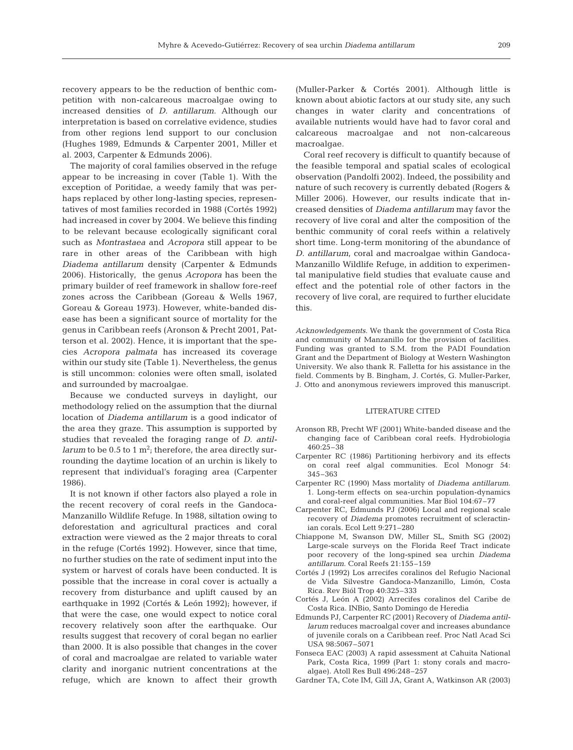recovery appears to be the reduction of benthic competition with non-calcareous macroalgae owing to increased densities of *D. antillarum*. Although our interpretation is based on correlative evidence, studies from other regions lend support to our conclusion (Hughes 1989, Edmunds & Carpenter 2001, Miller et al. 2003, Carpenter & Edmunds 2006).

The majority of coral families observed in the refuge appear to be increasing in cover (Table 1). With the exception of Poritidae, a weedy family that was perhaps replaced by other long-lasting species, representatives of most families recorded in 1988 (Cortés 1992) had increased in cover by 2004. We believe this finding to be relevant because ecologically significant coral such as *Montrastaea* and *Acropora* still appear to be rare in other areas of the Caribbean with high *Diadema antillarum* density (Carpenter & Edmunds 2006). Historically, the genus *Acropora* has been the primary builder of reef framework in shallow fore-reef zones across the Caribbean (Goreau & Wells 1967, Goreau & Goreau 1973). However, white-banded disease has been a significant source of mortality for the genus in Caribbean reefs (Aronson & Precht 2001, Patterson et al. 2002). Hence, it is important that the species *Acropora palmata* has increased its coverage within our study site (Table 1). Nevertheless, the genus is still uncommon: colonies were often small, isolated and surrounded by macroalgae.

Because we conducted surveys in daylight, our methodology relied on the assumption that the diurnal location of *Diadema antillarum* is a good indicator of the area they graze. This assumption is supported by studies that revealed the foraging range of *D. antillarum* to be 0.5 to 1  $m^2$ ; therefore, the area directly surrounding the daytime location of an urchin is likely to represent that individual's foraging area (Carpenter 1986).

It is not known if other factors also played a role in the recent recovery of coral reefs in the Gandoca-Manzanillo Wildlife Refuge. In 1988, siltation owing to deforestation and agricultural practices and coral extraction were viewed as the 2 major threats to coral in the refuge (Cortés 1992). However, since that time, no further studies on the rate of sediment input into the system or harvest of corals have been conducted. It is possible that the increase in coral cover is actually a recovery from disturbance and uplift caused by an earthquake in 1992 (Cortés & León 1992); however, if that were the case, one would expect to notice coral recovery relatively soon after the earthquake. Our results suggest that recovery of coral began no earlier than 2000. It is also possible that changes in the cover of coral and macroalgae are related to variable water clarity and inorganic nutrient concentrations at the refuge, which are known to affect their growth

(Muller-Parker & Cortés 2001). Although little is known about abiotic factors at our study site, any such changes in water clarity and concentrations of available nutrients would have had to favor coral and calcareous macroalgae and not non-calcareous macroalgae.

Coral reef recovery is difficult to quantify because of the feasible temporal and spatial scales of ecological observation (Pandolfi 2002). Indeed, the possibility and nature of such recovery is currently debated (Rogers & Miller 2006). However, our results indicate that increased densities of *Diadema antillarum* may favor the recovery of live coral and alter the composition of the benthic community of coral reefs within a relatively short time. Long-term monitoring of the abundance of *D. antillarum*, coral and macroalgae within Gandoca-Manzanillo Wildlife Refuge, in addition to experimental manipulative field studies that evaluate cause and effect and the potential role of other factors in the recovery of live coral, are required to further elucidate this.

*Acknowledgements*. We thank the government of Costa Rica and community of Manzanillo for the provision of facilities. Funding was granted to S.M. from the PADI Foundation Grant and the Department of Biology at Western Washington University. We also thank R. Falletta for his assistance in the field. Comments by B. Bingham, J. Cortés, G. Muller-Parker, J. Otto and anonymous reviewers improved this manuscript.

### LITERATURE CITED

- Aronson RB, Precht WF (2001) White-banded disease and the changing face of Caribbean coral reefs. Hydrobiologia 460:25–38
- Carpenter RC (1986) Partitioning herbivory and its effects on coral reef algal communities. Ecol Monogr 54: 345–363
- Carpenter RC (1990) Mass mortality of *Diadema antillarum*. 1. Long-term effects on sea-urchin population-dynamics and coral-reef algal communities. Mar Biol 104:67–77
- Carpenter RC, Edmunds PJ (2006) Local and regional scale recovery of *Diadema* promotes recruitment of scleractinian corals. Ecol Lett 9:271–280
- Chiappone M, Swanson DW, Miller SL, Smith SG (2002) Large-scale surveys on the Florida Reef Tract indicate poor recovery of the long-spined sea urchin *Diadema antillarum*. Coral Reefs 21:155–159
- Cortés J (1992) Los arrecifes coralinos del Refugio Nacional de Vida Silvestre Gandoca-Manzanillo, Limón, Costa Rica. Rev Biól Trop 40:325–333
- Cortés J, León A (2002) Arrecifes coralinos del Caribe de Costa Rica. INBio, Santo Domingo de Heredia
- Edmunds PJ, Carpenter RC (2001) Recovery of *Diadema antillarum* reduces macroalgal cover and increases abundance of juvenile corals on a Caribbean reef. Proc Natl Acad Sci USA 98:5067–5071
- Fonseca EAC (2003) A rapid assessment at Cahuita National Park, Costa Rica, 1999 (Part 1: stony corals and macroalgae). Atoll Res Bull 496:248–257
- Gardner TA, Cote IM, Gill JA, Grant A, Watkinson AR (2003)